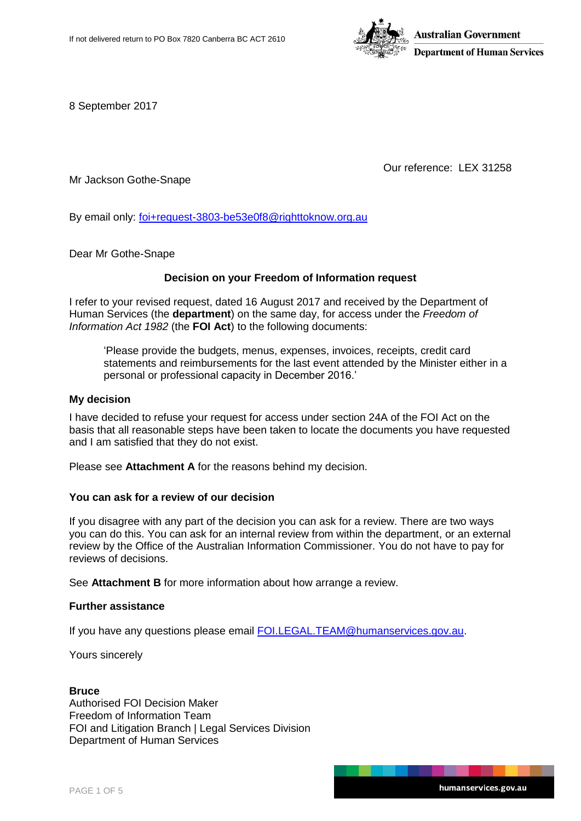

8 September 2017

Our reference: LEX 31258

Mr Jackson Gothe-Snape

By email only: [foi+request-3803-be53e0f8@righttoknow.org.au](mailto:xxxxxxxxxxxxxxxxxxxxxxxxx@xxxxxxxxxxx.xxx.xx)

Dear Mr Gothe-Snape

# **Decision on your Freedom of Information request**

I refer to your revised request, dated 16 August 2017 and received by the Department of Human Services (the **department**) on the same day, for access under the *Freedom of Information Act 1982* (the **FOI Act**) to the following documents:

'Please provide the budgets, menus, expenses, invoices, receipts, credit card statements and reimbursements for the last event attended by the Minister either in a personal or professional capacity in December 2016.'

### **My decision**

I have decided to refuse your request for access under section 24A of the FOI Act on the basis that all reasonable steps have been taken to locate the documents you have requested and I am satisfied that they do not exist.

Please see **Attachment A** for the reasons behind my decision.

# **You can ask for a review of our decision**

If you disagree with any part of the decision you can ask for a review. There are two ways you can do this. You can ask for an internal review from within the department, or an external review by the Office of the Australian Information Commissioner. You do not have to pay for reviews of decisions.

See **Attachment B** for more information about how arrange a review.

### **Further assistance**

If you have any questions please email **FOI.LEGAL.TEAM@humanservices.gov.au.** 

Yours sincerely

### **Bruce**

Authorised FOI Decision Maker Freedom of Information Team FOI and Litigation Branch | Legal Services Division Department of Human Services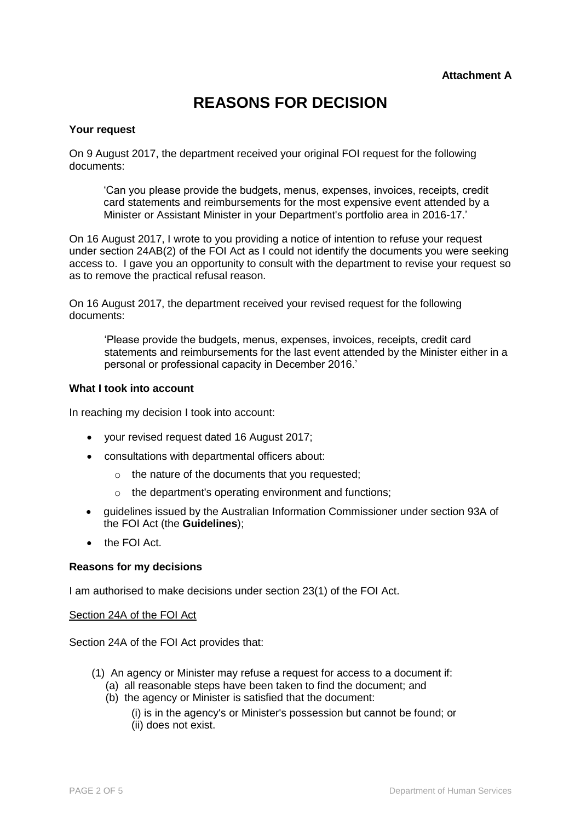# **REASONS FOR DECISION**

### **Your request**

On 9 August 2017, the department received your original FOI request for the following documents:

'Can you please provide the budgets, menus, expenses, invoices, receipts, credit card statements and reimbursements for the most expensive event attended by a Minister or Assistant Minister in your Department's portfolio area in 2016-17.'

On 16 August 2017, I wrote to you providing a notice of intention to refuse your request under section 24AB(2) of the FOI Act as I could not identify the documents you were seeking access to. I gave you an opportunity to consult with the department to revise your request so as to remove the practical refusal reason.

On 16 August 2017, the department received your revised request for the following documents:

'Please provide the budgets, menus, expenses, invoices, receipts, credit card statements and reimbursements for the last event attended by the Minister either in a personal or professional capacity in December 2016.'

### **What I took into account**

In reaching my decision I took into account:

- your revised request dated 16 August 2017;
- consultations with departmental officers about:
	- o the nature of the documents that you requested;
	- o the department's operating environment and functions;
- guidelines issued by the Australian Information Commissioner under section 93A of the FOI Act (the **Guidelines**);
- **the FOI Act.**

### **Reasons for my decisions**

I am authorised to make decisions under section 23(1) of the FOI Act.

### Section 24A of the FOI Act

Section 24A of the FOI Act provides that:

- (1) An agency or Minister may refuse a request for access to a document if:
	- (a) all reasonable steps have been taken to find the document; and
	- (b) the agency or Minister is satisfied that the document:
		- (i) is in the agency's or Minister's possession but cannot be found; or (ii) does not exist.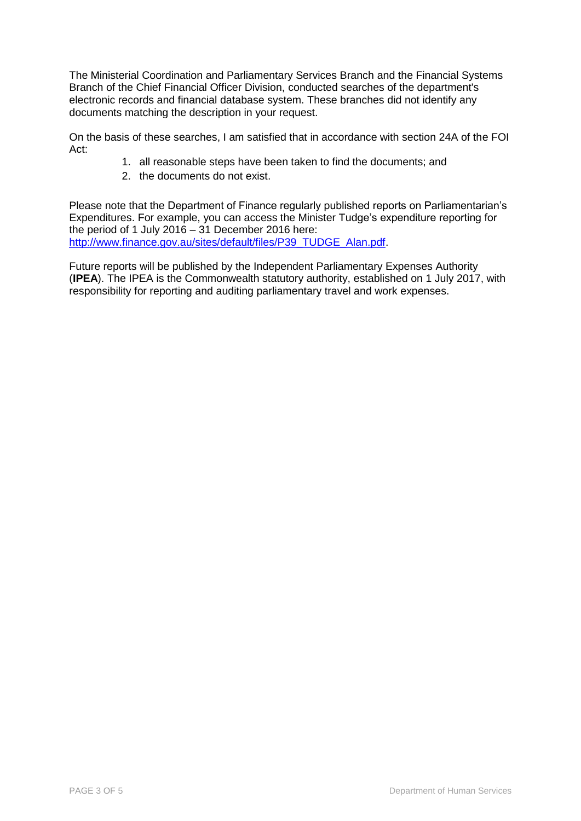The Ministerial Coordination and Parliamentary Services Branch and the Financial Systems Branch of the Chief Financial Officer Division, conducted searches of the department's electronic records and financial database system. These branches did not identify any documents matching the description in your request.

On the basis of these searches, I am satisfied that in accordance with section 24A of the FOI Act:

- 1. all reasonable steps have been taken to find the documents; and
- 2. the documents do not exist.

Please note that the Department of Finance regularly published reports on Parliamentarian's Expenditures. For example, you can access the Minister Tudge's expenditure reporting for the period of 1 July 2016 – 31 December 2016 here: [http://www.finance.gov.au/sites/default/files/P39\\_TUDGE\\_Alan.pdf.](http://www.finance.gov.au/sites/default/files/P39_TUDGE_Alan.pdf)

Future reports will be published by the Independent Parliamentary Expenses Authority (**IPEA**). The IPEA is the Commonwealth statutory authority, established on 1 July 2017, with responsibility for reporting and auditing parliamentary travel and work expenses.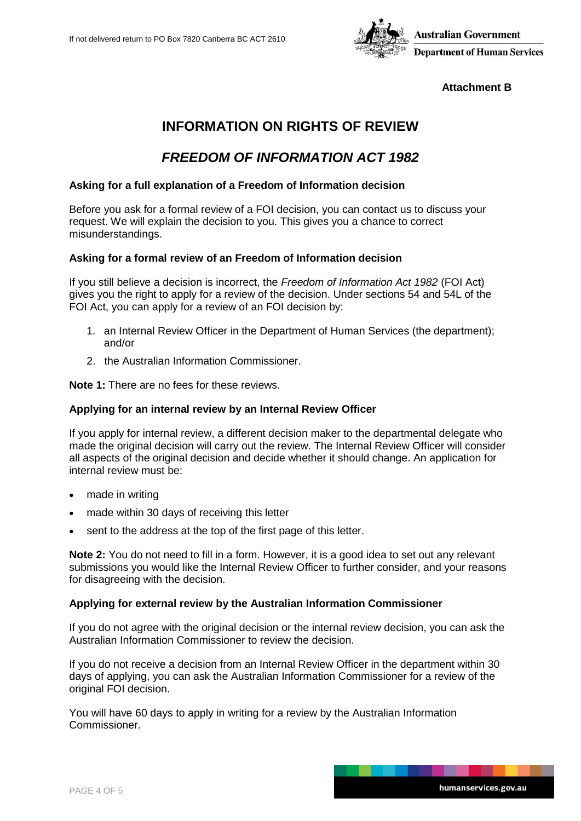

# **Attachment B**

# **INFORMATION ON RIGHTS OF REVIEW**

# *FREEDOM OF INFORMATION ACT 1982*

### **Asking for a full explanation of a Freedom of Information decision**

Before you ask for a formal review of a FOI decision, you can contact us to discuss your request. We will explain the decision to you. This gives you a chance to correct misunderstandings.

### **Asking for a formal review of an Freedom of Information decision**

If you still believe a decision is incorrect, the *Freedom of Information Act 1982* (FOI Act) gives you the right to apply for a review of the decision. Under sections 54 and 54L of the FOI Act, you can apply for a review of an FOI decision by:

- 1. an Internal Review Officer in the Department of Human Services (the department); and/or
- 2. the Australian Information Commissioner.

**Note 1:** There are no fees for these reviews.

# **Applying for an internal review by an Internal Review Officer**

If you apply for internal review, a different decision maker to the departmental delegate who made the original decision will carry out the review. The Internal Review Officer will consider all aspects of the original decision and decide whether it should change. An application for internal review must be:

- made in writing
- made within 30 days of receiving this letter
- sent to the address at the top of the first page of this letter.

**Note 2:** You do not need to fill in a form. However, it is a good idea to set out any relevant submissions you would like the Internal Review Officer to further consider, and your reasons for disagreeing with the decision.

### **Applying for external review by the Australian Information Commissioner**

If you do not agree with the original decision or the internal review decision, you can ask the Australian Information Commissioner to review the decision.

If you do not receive a decision from an Internal Review Officer in the department within 30 days of applying, you can ask the Australian Information Commissioner for a review of the original FOI decision.

You will have 60 days to apply in writing for a review by the Australian Information Commissioner.